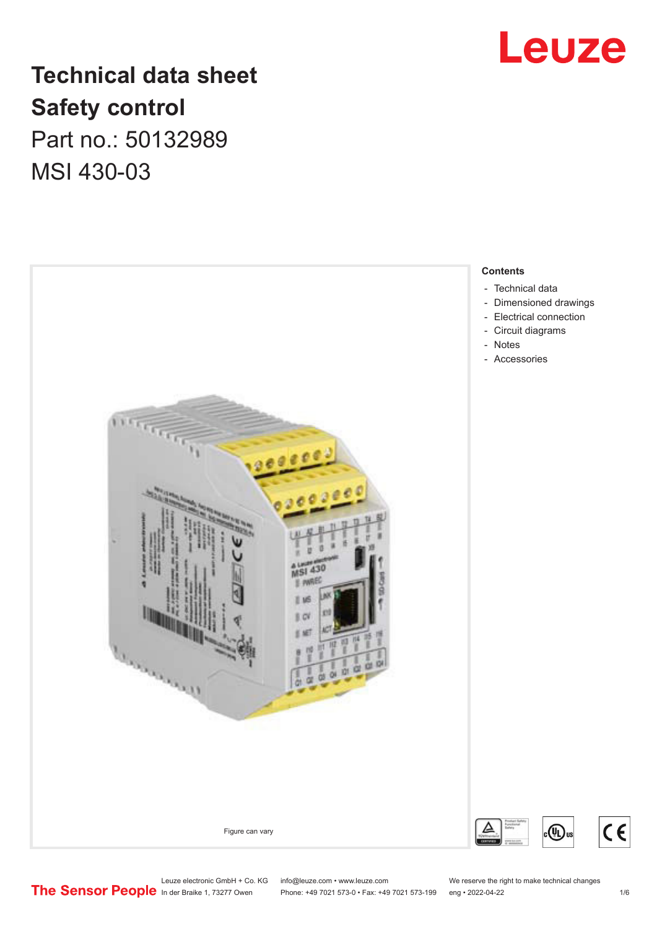

# **Technical data sheet Safety control** Part no.: 50132989

MSI 430-03



- [Technical data](#page-1-0)
- [Dimensioned drawings](#page-2-0)
- [Electrical connection](#page-3-0)
- [Circuit diagrams](#page-4-0)
- 

Leuze electronic GmbH + Co. KG info@leuze.com • www.leuze.com We reserve the right to make technical changes<br> **The Sensor People** in der Braike 1, 73277 Owen Phone: +49 7021 573-0 • Fax: +49 7021 573-199 eng • 2022-04-22

Phone: +49 7021 573-0 • Fax: +49 7021 573-199 eng • 2022-04-22

 $(\mathbb{q})$ us

 $c \in$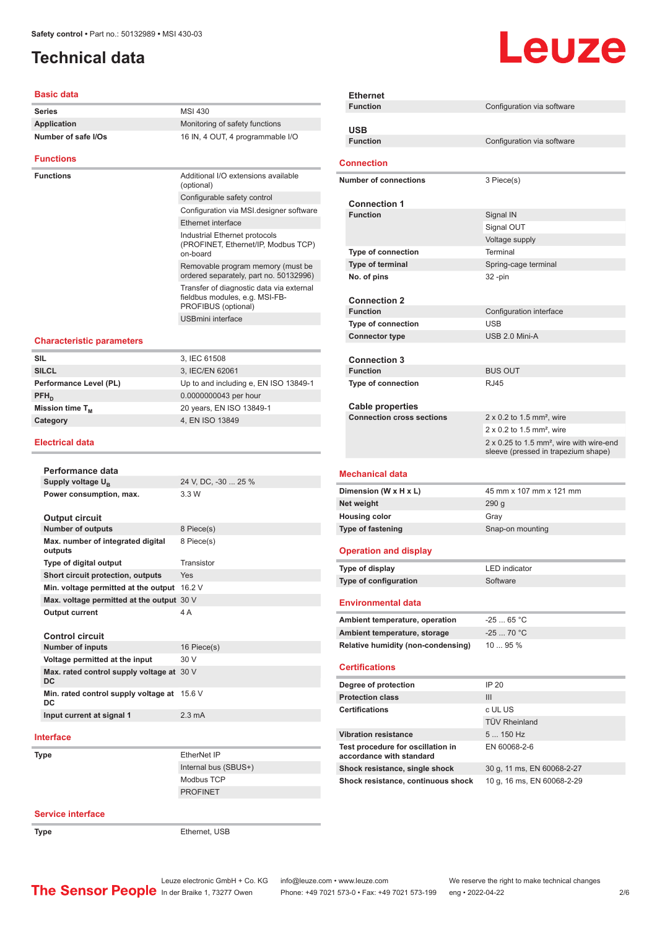# <span id="page-1-0"></span>**Technical data**

### **Basic data**

| Series              | MSI 430                                                                                           |
|---------------------|---------------------------------------------------------------------------------------------------|
| <b>Application</b>  | Monitoring of safety functions                                                                    |
| Number of safe I/Os | 16 IN, 4 OUT, 4 programmable I/O                                                                  |
| Functions           |                                                                                                   |
| Functions           | Additional I/O extensions available<br>(optional)                                                 |
|                     | Configurable safety control                                                                       |
|                     | Configuration via MSI designer software                                                           |
|                     | Ethernet interface                                                                                |
|                     | Industrial Ethernet protocols<br>(PROFINET, Ethernet/IP, Modbus TCP)<br>on-board                  |
|                     | Removable program memory (must be<br>ordered separately, part no. 50132996)                       |
|                     | Transfer of diagnostic data via external<br>fieldbus modules, e.g. MSI-FB-<br>PROFIBUS (optional) |
|                     | <b>USBmini</b> interface                                                                          |
|                     |                                                                                                   |

#### **Characteristic parameters**

| <b>SIL</b>             | 3, IEC 61508                          |
|------------------------|---------------------------------------|
| <b>SILCL</b>           | 3, IEC/EN 62061                       |
| Performance Level (PL) | Up to and including e, EN ISO 13849-1 |
| $PFH_n$                | 0.0000000043 per hour                 |
| Mission time $T_{M}$   | 20 years, EN ISO 13849-1              |
| Category               | 4, EN ISO 13849                       |
|                        |                                       |

#### **Electrical data**

| Performance data                                       |                     |
|--------------------------------------------------------|---------------------|
| Supply voltage U <sub>B</sub>                          | 24 V, DC, -30  25 % |
| Power consumption, max.                                | 3.3 W               |
| <b>Output circuit</b>                                  |                     |
| <b>Number of outputs</b>                               | 8 Piece(s)          |
| Max. number of integrated digital<br>outputs           | 8 Piece(s)          |
| Type of digital output                                 | Transistor          |
| Short circuit protection, outputs                      | Yes                 |
| Min. voltage permitted at the output                   | 16.2 V              |
| Max. voltage permitted at the output 30 V              |                     |
| <b>Output current</b>                                  | 4 A                 |
| Control circuit                                        |                     |
| <b>Number of inputs</b>                                | 16 Piece(s)         |
| Voltage permitted at the input                         | 30 V                |
| Max. rated control supply voltage at 30 V<br><b>DC</b> |                     |
| Min. rated control supply voltage at<br>DC             | 15.6 V              |
| Input current at signal 1                              | $2.3 \text{ mA}$    |
|                                                        |                     |

### **Interface**

**Type** EtherNet IP

# **Configuration** via software **Function** Configuration via software **Number of connections** 3 Piece(s) **Connection 1 Signal IN** Signal OUT Voltage supply **Type of connection** Terminal **Type of terminal** Spring-cage terminal **No. of pins** 32 -pin **Connection 2 Function** Configuration interface **Type of connection** USB **Connector type** USB 2.0 Mini-A **Connection 3 Function** BUS OUT **Type of connection** RJ45

| <b>Cable properties</b>          |                                                                                                    |
|----------------------------------|----------------------------------------------------------------------------------------------------|
| <b>Connection cross sections</b> | $2 \times 0.2$ to 1.5 mm <sup>2</sup> , wire                                                       |
|                                  | $2 \times 0.2$ to 1.5 mm <sup>2</sup> , wire                                                       |
|                                  | $2 \times 0.25$ to 1.5 mm <sup>2</sup> , wire with wire-end<br>sleeve (pressed in trapezium shape) |
|                                  |                                                                                                    |

#### **Mechanical data**

**Ethernet**

**USB**

**Connection**

| Dimension (W x H x L) | 45 mm x 107 mm x 121 mm |
|-----------------------|-------------------------|
| Net weight            | 290 <sub>a</sub>        |
| <b>Housing color</b>  | Grav                    |
| Type of fastening     | Snap-on mounting        |

#### **Operation and display**

| Type of display       | LED indicator |
|-----------------------|---------------|
| Type of configuration | Software      |

### **Environmental data**

| Ambient temperature, operation     | $-2565 °C$ |
|------------------------------------|------------|
| Ambient temperature, storage       | $-2570 °C$ |
| Relative humidity (non-condensing) | 1095%      |

#### **Certifications**

| Degree of protection                                          | IP 20                      |
|---------------------------------------------------------------|----------------------------|
| <b>Protection class</b>                                       | Ш                          |
| <b>Certifications</b>                                         | c UL US                    |
|                                                               | <b>TÜV Rheinland</b>       |
| <b>Vibration resistance</b>                                   | $5150$ Hz                  |
| Test procedure for oscillation in<br>accordance with standard | EN 60068-2-6               |
| Shock resistance, single shock                                | 30 g, 11 ms, EN 60068-2-27 |
| Shock resistance, continuous shock                            | 10 g, 16 ms, EN 60068-2-29 |

#### **Service interface**

**Type** Ethernet, USB

Internal bus (SBUS+) Modbus TCP PROFINET

Leuze electronic GmbH + Co. KG info@leuze.com • www.leuze.com We reserve the right to make technical changes<br>
The Sensor People in der Braike 1, 73277 Owen Phone: +49 7021 573-0 • Fax: +49 7021 573-199 eng • 2022-04-22

# Leuze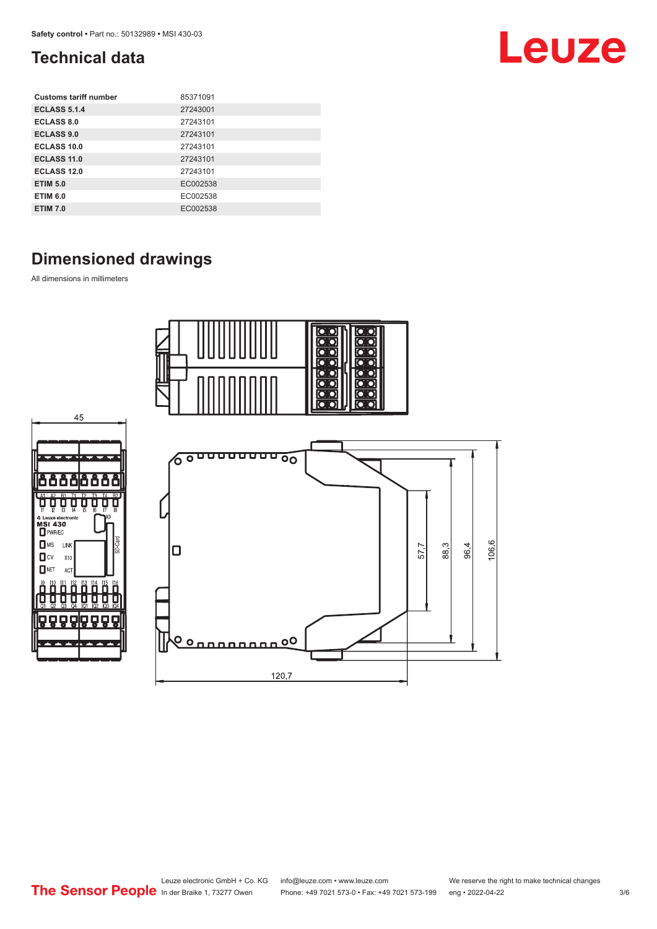# <span id="page-2-0"></span>**Technical data**

| <b>Customs tariff number</b> | 85371091 |
|------------------------------|----------|
| <b>ECLASS 5.1.4</b>          | 27243001 |
| <b>ECLASS 8.0</b>            | 27243101 |
| <b>ECLASS 9.0</b>            | 27243101 |
| ECLASS 10.0                  | 27243101 |
| <b>ECLASS 11.0</b>           | 27243101 |
| ECLASS 12.0                  | 27243101 |
| <b>ETIM 5.0</b>              | EC002538 |
| <b>ETIM 6.0</b>              | EC002538 |
| <b>ETIM 7.0</b>              | EC002538 |

# **Dimensioned drawings**

All dimensions in millimeters



# Leuze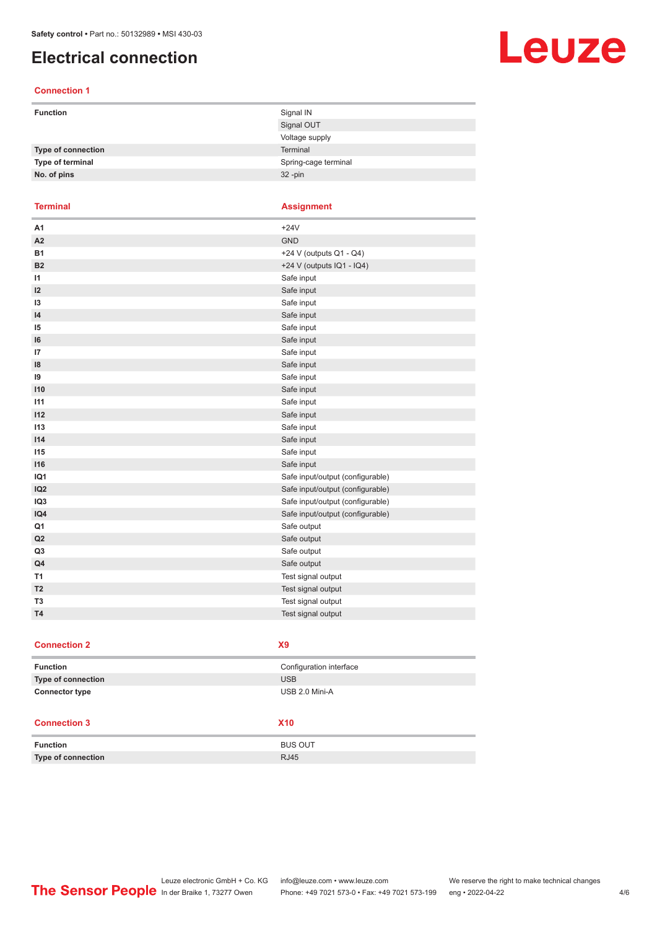# <span id="page-3-0"></span>**Electrical connection**

### **Connection 1**

| <b>Function</b>    | Signal IN            |
|--------------------|----------------------|
|                    | Signal OUT           |
|                    | Voltage supply       |
| Type of connection | Terminal             |
| Type of terminal   | Spring-cage terminal |
| No. of pins        | $32 - pin$           |

**Terminal Assignment**

| A <sub>1</sub>  | $+24V$                           |
|-----------------|----------------------------------|
| A <sub>2</sub>  | <b>GND</b>                       |
| <b>B1</b>       | +24 V (outputs Q1 - Q4)          |
| <b>B2</b>       | +24 V (outputs IQ1 - IQ4)        |
| $\mathsf{I}$    | Safe input                       |
| 12              | Safe input                       |
| 13              | Safe input                       |
| $\overline{14}$ | Safe input                       |
| 15              | Safe input                       |
| 16              | Safe input                       |
| 17              | Safe input                       |
| 18              | Safe input                       |
| 19              | Safe input                       |
| 110             | Safe input                       |
| 111             | Safe input                       |
| 112             | Safe input                       |
| 113             | Safe input                       |
| 114             | Safe input                       |
| 115             | Safe input                       |
| 116             | Safe input                       |
| IQ1             | Safe input/output (configurable) |
| IQ <sub>2</sub> | Safe input/output (configurable) |
| IQ <sub>3</sub> | Safe input/output (configurable) |
| IQ4             | Safe input/output (configurable) |
| Q <sub>1</sub>  | Safe output                      |
| Q2              | Safe output                      |
| Q <sub>3</sub>  | Safe output                      |
| Q4              | Safe output                      |
| T1              | Test signal output               |
| T <sub>2</sub>  | Test signal output               |
| T <sub>3</sub>  | Test signal output               |
| <b>T4</b>       | Test signal output               |
|                 |                                  |

#### **Connection 2 X9**

| <b>Function</b>           | Configuration interface |
|---------------------------|-------------------------|
| <b>Type of connection</b> | <b>USB</b>              |
| <b>Connector type</b>     | USB 2.0 Mini-A          |

### **Connection 3 X10**

| <b>Function</b>           | <b>BUS OUT</b> |
|---------------------------|----------------|
| <b>Type of connection</b> | <b>RJ45</b>    |

# Leuze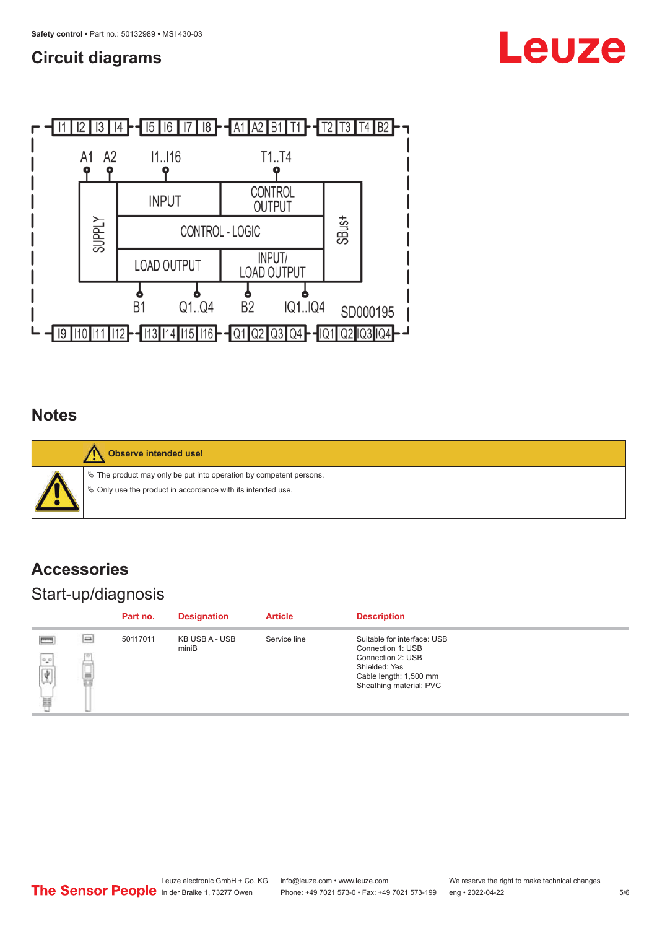## <span id="page-4-0"></span>**Circuit diagrams**





## **Notes**

**Observe intended use!**  $\%$  The product may only be put into operation by competent persons.  $\%$  Only use the product in accordance with its intended use.

# **Accessories**

# Start-up/diagnosis

|                                                                                                       |          | Part no. | <b>Designation</b>      | <b>Article</b> | <b>Description</b>                                                                      |
|-------------------------------------------------------------------------------------------------------|----------|----------|-------------------------|----------------|-----------------------------------------------------------------------------------------|
|                                                                                                       | $\equiv$ | 50117011 | KB USB A - USB<br>miniB | Service line   | Suitable for interface: USB<br>Connection 1: USB                                        |
| $\begin{tabular}{ c c } \hline $\phi$ \\ \hline $\phi$ \\ \hline $\phi$ \\ \hline \end{tabular}$<br>匾 |          |          |                         |                | Connection 2: USB<br>Shielded: Yes<br>Cable length: 1,500 mm<br>Sheathing material: PVC |